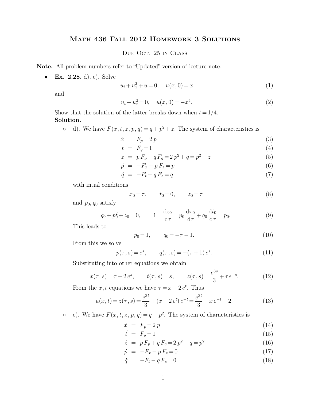## Math 436 Fall 2012 Homework 3 Solutions

Due Oct. 25 in Class

**Note.** All problem numbers refer to "Updated" version of lecture note.

• **Ex. 2.28.** d), e). Solve

$$
u_t + u_x^2 + u = 0, \quad u(x,0) = x \tag{1}
$$

and

$$
u_t + u_x^2 = 0, \quad u(x,0) = -x^2. \tag{2}
$$

Show that the solution of the latter breaks down when  $t = 1/4$ . **Solution.**

• d). We have  $F(x, t, z, p, q) = q + p^2 + z$ . The system of characteristics is

$$
\dot{x} = F_p = 2p \tag{3}
$$

$$
\dot{t} = F_q = 1 \tag{4}
$$

$$
\dot{z} = p F_p + q F_q = 2 p^2 + q = p^2 - z \tag{5}
$$

$$
\dot{p} = -F_x - pF_z = p \tag{6}
$$

$$
\dot{q} = -F_t - qF_z = q \tag{7}
$$

with intial conditions

$$
x_0 = \tau, \qquad t_0 = 0, \qquad z_0 = \tau \tag{8}
$$

and  $p_0$ ,  $q_0$  satisfy

$$
q_0 + p_0^2 + z_0 = 0, \qquad 1 = \frac{dz_0}{d\tau} = p_0 \frac{dx_0}{d\tau} + q_0 \frac{dt_0}{d\tau} = p_0.
$$
\n(9)

This leads to

$$
p_0 = 1, \qquad q_0 = -\tau - 1. \tag{10}
$$

From this we solve

$$
p(\tau, s) = e^s, \qquad q(\tau, s) = -(\tau + 1) e^s.
$$
 (11)

Substituting into other equations we obtain

$$
x(\tau, s) = \tau + 2e^{s}
$$
,  $t(\tau, s) = s$ ,  $z(\tau, s) = \frac{e^{3s}}{3} + \tau e^{-s}$ . (12)

From the  $x, t$  equations we have  $\tau = x - 2e^t$ . Thus

$$
u(x,t) = z(\tau, s) = \frac{e^{3t}}{3} + (x - 2e^t)e^{-t} = \frac{e^{3t}}{3} + xe^{-t} - 2.
$$
 (13)

• e). We have  $F(x, t, z, p, q) = q + p^2$ . The system of characteristics is

$$
\dot{x} = F_p = 2p \tag{14}
$$

$$
\dot{t} = F_q = 1 \tag{15}
$$

$$
\dot{z} = p F_p + q F_q = 2 p^2 + q = p^2 \tag{16}
$$

$$
\dot{p} = -F_x - pF_z = 0 \tag{17}
$$

$$
\dot{q} = -F_t - qF_z = 0\tag{18}
$$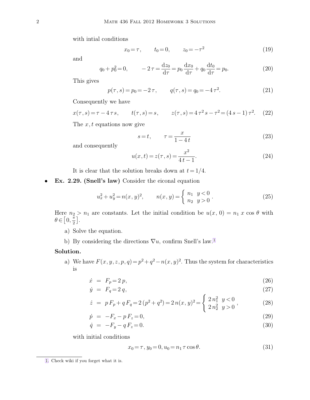with intial conditions

<span id="page-1-0"></span>
$$
x_0 = \tau, \qquad t_0 = 0, \qquad z_0 = -\tau^2 \tag{19}
$$

and

$$
q_0 + p_0^2 = 0, \qquad -2\tau = \frac{dz_0}{d\tau} = p_0 \frac{dx_0}{d\tau} + q_0 \frac{dt_0}{d\tau} = p_0.
$$
 (20)

This gives

$$
p(\tau, s) = p_0 = -2\,\tau, \qquad q(\tau, s) = q_0 = -4\,\tau^2. \tag{21}
$$

Consequently we have

$$
x(\tau, s) = \tau - 4 \tau s
$$
,  $t(\tau, s) = s$ ,  $z(\tau, s) = 4 \tau^2 s - \tau^2 = (4 s - 1) \tau^2$ . (22)

The  $x, t$  equations now give

$$
s = t, \qquad \tau = \frac{x}{1 - 4t} \tag{23}
$$

and consequently

$$
u(x,t) = z(\tau, s) = \frac{x^2}{4t - 1}.
$$
\n(24)

It is clear that the solution breaks down at  $t = 1/4$ .

• **Ex. 2.29. (Snell's law)** Consider the eiconal equation

$$
u_x^2 + u_y^2 = n(x, y)^2, \qquad n(x, y) = \begin{cases} n_1 & y < 0 \\ n_2 & y > 0 \end{cases} \tag{25}
$$

Here  $n_2 > n_1$  are constants. Let the initial condition be  $u(x, 0) = n_1 x \cos \theta$  with  $\theta \in \left[0, \frac{\pi}{2}\right]$  $\frac{\pi}{2}$ .

- a) Solve the equation.
- b) By considering the directions  $\nabla u$ , confirm Snell's law.<sup>1</sup>

## **Solution.**

a) We have  $F(x, y, z, p, q) = p^2 + q^2 - n(x, y)^2$ . Thus the system for characteristics is

$$
\dot{x} = F_p = 2p,\tag{26}
$$

$$
\dot{y} = F_q = 2 q, \tag{27}
$$

$$
\dot{z} = p F_p + q F_q = 2 (p^2 + q^2) = 2 n(x, y)^2 = \begin{cases} 2 n_1^2 & y < 0 \\ 2 n_2^2 & y > 0 \end{cases},\tag{28}
$$

$$
\dot{p} = -F_x - p F_z = 0,\t\t(29)
$$

$$
\dot{q} = -F_y - qF_z = 0. \tag{30}
$$

with initial conditions

$$
x_0 = \tau, y_0 = 0, u_0 = n_1 \tau \cos \theta.
$$
 (31)

[<sup>1.</sup>](#page-1-0) Check wiki if you forget what it is.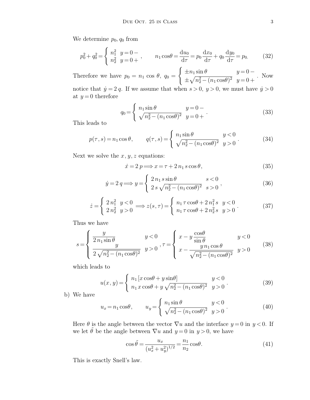We determine  $p_0$ ,  $q_0$  from

$$
p_0^2 + q_0^2 = \begin{cases} n_1^2 & y = 0 - \\ n_2^2 & y = 0 + \end{cases}, \qquad n_1 \cos \theta = \frac{\mathrm{d}u_0}{\mathrm{d}\tau} = p_0 \frac{\mathrm{d}x_0}{\mathrm{d}\tau} + q_0 \frac{\mathrm{d}y_0}{\mathrm{d}\tau} = p_0. \tag{32}
$$

Therefore we have  $p_0 = n_1 \cos \theta$ ,  $q_0 =$  $\int \pm n_1 \sin \theta \qquad \qquad y = 0 \pm \sqrt{n_2^2 - (n_1 \cos \theta)^2}$   $y = 0 +$ . Now

notice that  $\dot{y} = 2 q$ . If we assume that when  $s > 0$ ,  $y > 0$ , we must have  $\dot{y} > 0$ at  $y=0$  therefore

$$
q_0 = \begin{cases} n_1 \sin \theta & y = 0 - \\ \sqrt{n_2^2 - (n_1 \cos \theta)^2} & y = 0 + \end{cases}
$$
 (33)

This leads to

$$
p(\tau, s) = n_1 \cos \theta, \qquad q(\tau, s) = \begin{cases} n_1 \sin \theta & y < 0 \\ \sqrt{n_2^2 - (n_1 \cos \theta)^2} & y > 0 \end{cases} \tag{34}
$$

Next we solve the  $x, y, z$  equations:

$$
\dot{x} = 2 \, p \Longrightarrow x = \tau + 2 \, n_1 \, s \cos \theta,\tag{35}
$$

$$
\dot{y} = 2 q \Longrightarrow y = \begin{cases} 2 n_1 s \sin \theta & s < 0 \\ 2 s \sqrt{n_2^2 - (n_1 \cos \theta)^2} & s > 0 \end{cases},
$$
(36)

$$
\dot{z} = \begin{cases} 2 n_1^2 & y < 0 \\ 2 n_2^2 & y > 0 \end{cases} \Longrightarrow z(s, \tau) = \begin{cases} n_1 \tau \cos \theta + 2 n_1^2 s & y < 0 \\ n_1 \tau \cos \theta + 2 n_2^2 s & y > 0 \end{cases} \tag{37}
$$

Thus we have

$$
s = \begin{cases} \frac{y}{2 n_1 \sin \theta} & y < 0\\ \frac{y}{2 \sqrt{n_2^2 - (n_1 \cos \theta)^2}} & y > 0 \end{cases}, \tau = \begin{cases} x - y \frac{\cos \theta}{\sin \theta} & y < 0\\ x - \frac{y n_1 \cos \theta}{\sqrt{n_2^2 - (n_1 \cos \theta)^2}} & y > 0 \end{cases}
$$
(38)

which leads to

$$
u(x,y) = \begin{cases} n_1 [x \cos \theta + y \sin \theta] & y < 0 \\ n_1 x \cos \theta + y \sqrt{n_2^2 - (n_1 \cos \theta)^2} & y > 0 \end{cases}
$$
 (39)

b) We have

$$
u_x = n_1 \cos \theta, \qquad u_y = \begin{cases} n_1 \sin \theta & y < 0 \\ \sqrt{n_2^2 - (n_1 \cos \theta)^2} & y > 0 \end{cases} \tag{40}
$$

Here  $\theta$  is the angle between the vector  $\nabla u$  and the interface  $y = 0$  in  $y < 0$ . If we let  $\tilde{\theta}$  be the angle between  $\nabla u$  and  $y = 0$  in  $y > 0$ , we have

$$
\cos \tilde{\theta} = \frac{u_x}{(u_x^2 + u_y^2)^{1/2}} = \frac{n_1}{n_2} \cos \theta.
$$
 (41)

This is exactly Snell's law.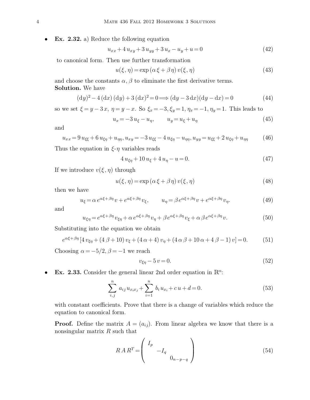**Ex. 2.32.** a) Reduce the following equation

$$
u_{xx} + 4u_{xy} + 3u_{yy} + 3u_x - u_y + u = 0
$$
\n(42)

to canonical form. Then use further transformation

$$
u(\xi, \eta) = \exp\left(\alpha \xi + \beta \eta\right) v(\xi, \eta) \tag{43}
$$

and choose the constants  $\alpha$ ,  $\beta$  to eliminate the first derivative terms. **Solution.** We have

$$
(dy)2 - 4 (dx) (dy) + 3 (dx)2 = 0 \Longrightarrow (dy - 3 dx)(dy - dx) = 0
$$
 (44)

so we set  $\xi = y - 3x$ ,  $\eta = y - x$ . So  $\xi_x = -3$ ,  $\xi_y = 1$ ,  $\eta_x = -1$ ,  $\eta_y = 1$ . This leads to

$$
u_x = -3u_{\xi} - u_{\eta}, \qquad u_y = u_{\xi} + u_{\eta}
$$
\n(45)

and

$$
u_{xx} = 9 u_{\xi\xi} + 6 u_{\xi\eta} + u_{\eta\eta}, u_{xy} = -3 u_{\xi\xi} - 4 u_{\xi\eta} - u_{\eta\eta}, u_{yy} = u_{\xi\xi} + 2 u_{\xi\eta} + u_{\eta\eta}
$$
(46)

Thus the equation in  $\xi$ -η variables reads

$$
4u_{\xi\eta} + 10u_{\xi} + 4u_{\eta} - u = 0.
$$
\n(47)

If we introduce  $v(\xi, \eta)$  through

$$
u(\xi, \eta) = \exp(\alpha \xi + \beta \eta) v(\xi, \eta)
$$
\n(48)

then we have

$$
u_{\xi} = \alpha e^{\alpha \xi + \beta \eta} v + e^{\alpha \xi + \beta \eta} v_{\xi}, \qquad u_{\eta} = \beta e^{\alpha \xi + \beta \eta} v + e^{\alpha \xi + \beta \eta} v_{\eta}.
$$
 (49)

and

$$
u_{\xi\eta} = e^{\alpha\xi + \beta\eta} v_{\xi\eta} + \alpha e^{\alpha\xi + \beta\eta} v_{\eta} + \beta e^{\alpha\xi + \beta\eta} v_{\xi} + \alpha \beta e^{\alpha\xi + \beta\eta} v.
$$
 (50)

Substituting into the equation we obtain

$$
e^{\alpha\xi+\beta\eta}\left[4v_{\xi\eta}+(4\beta+10)v_{\xi}+(4\alpha+4)v_{\eta}+(4\alpha\beta+10\alpha+4\beta-1)v\right]=0.\tag{51}
$$

Choosing  $\alpha = -5/2$ ,  $\beta = -1$  we reach

$$
v_{\xi\eta} - 5v = 0.\tag{52}
$$

• Ex. 2.33. Consider the general linear 2nd order equation in  $\mathbb{R}^n$ :

$$
\sum_{i,j}^{n} a_{ij} u_{x_ix_j} + \sum_{i=1}^{n} b_i u_{x_i} + c u + d = 0.
$$
 (53)

with constant coefficients. Prove that there is a change of variables which reduce the equation to canonical form.

**Proof.** Define the matrix  $A = (a_{ij})$ . From linear algebra we know that there is a nonsingular matrix R such that

$$
RAR^{T} = \begin{pmatrix} I_p & & \\ & -I_q & \\ & & 0_{n-p-q} \end{pmatrix}
$$
 (54)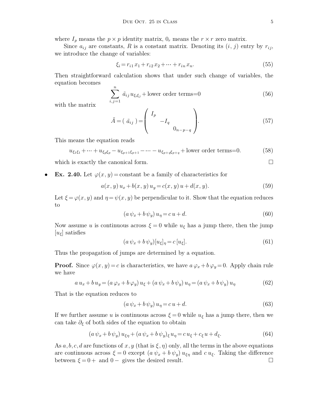where  $I_p$  means the  $p \times p$  identity matrix,  $0_r$  means the  $r \times r$  zero matrix.

Since  $a_{ij}$  are constants, R is a constant matrix. Denoting its  $(i, j)$  entry by  $r_{ij}$ , we introduce the change of variables:

$$
\xi_i = r_{i1} x_1 + r_{i2} x_2 + \dots + r_{in} x_n. \tag{55}
$$

Then straightforward calculation shows that under such change of variables, the equation becomes

$$
\sum_{j,j=1}^{n} \tilde{a}_{ij} u_{\xi_i \xi_j} + \text{lower order terms} = 0 \tag{56}
$$

with the matrix

$$
\tilde{A} = \left(\begin{array}{c} \tilde{a}_{ij} \end{array}\right) = \left(\begin{array}{c} I_p & & \\ & -I_q & \\ & & 0_{n-p-q} \end{array}\right). \tag{57}
$$

This means the equation reads

$$
u_{\xi_1\xi_1} + \dots + u_{\xi_p\xi_p} - u_{\xi_{p+1}\xi_{p+1}} - \dots - u_{\xi_{p+q}\xi_{p+q}} + \text{lower order terms=0.}
$$
 (58)

which is exactly the canonical form.  $\square$ 

 $\int$ 

**Ex. 2.40.** Let  $\varphi(x, y) = \text{constant}$  be a family of characteristics for

$$
a(x, y) u_x + b(x, y) u_y = c(x, y) u + d(x, y).
$$
 (59)

Let  $\xi = \varphi(x, y)$  and  $\eta = \psi(x, y)$  be perpendicular to it. Show that the equation reduces to

$$
(a\,\psi_x + b\,\psi_y)\,u_\eta = c\,u + d.\tag{60}
$$

Now assume u is continuous across  $\xi = 0$  while  $u_{\xi}$  has a jump there, then the jump  $[u_{\xi}]$  satisfies

$$
(a\,\psi_x + b\,\psi_y)[u_\xi]_\eta = c\,[u_\xi].\tag{61}
$$

Thus the propagation of jumps are determined by a equation.

**Proof.** Since  $\varphi(x, y) = c$  is characteristics, we have  $a \varphi_x + b \varphi_y = 0$ . Apply chain rule we have

$$
a u_x + b u_y = (a \varphi_x + b \varphi_y) u_{\xi} + (a \psi_x + b \psi_y) u_{\eta} = (a \psi_x + b \psi_y) u_{\eta}
$$
(62)

That is the equation reduces to

$$
(a\,\psi_x + b\,\psi_y)\,u_\eta = c\,u + d.\tag{63}
$$

If we further assume u is continuous across  $\xi = 0$  while  $u_{\xi}$  has a jump there, then we can take  $\partial_{\xi}$  of both sides of the equation to obtain

$$
(a\,\psi_x + b\,\psi_y)\,u_{\xi\eta} + (a\,\psi_x + b\,\psi_y)_{\xi}\,u_{\eta} = c\,u_{\xi} + c_{\xi}\,u + d_{\xi}.\tag{64}
$$

As  $a, b, c, d$  are functions of  $x, y$  (that is  $\xi, \eta$ ) only, all the terms in the above equations are continuous across  $\xi = 0$  except  $(a \psi_x + b \psi_y) u_{\xi\eta}$  and  $c u_{\xi}$ . Taking the difference between  $\xi = 0 +$  and  $0 -$  gives the desired result.